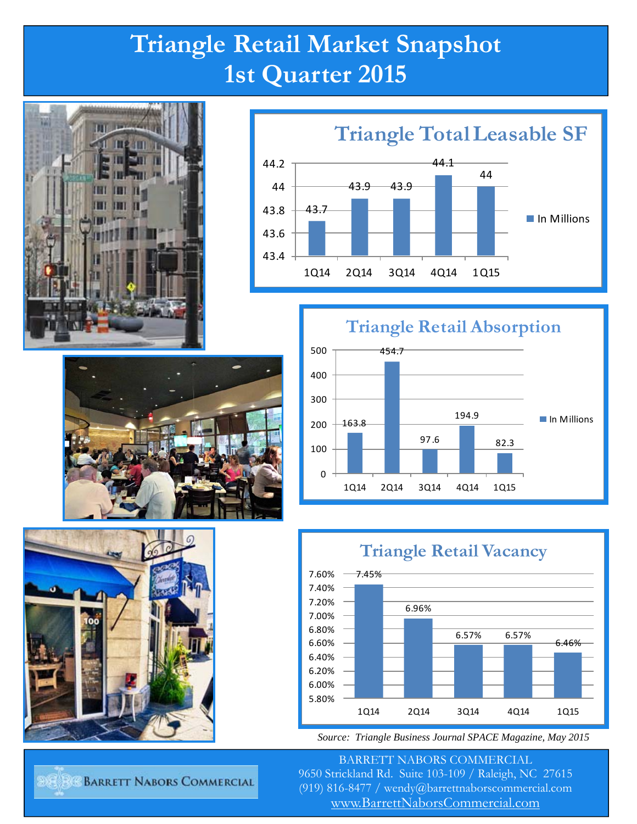## **Triangle Retail Market Snapshot 1st Quarter 2015**













*Source: Triangle Business Journal SPACE Magazine, May 2015* 

BARRETT NABORS COMMERCIAL 9650 Strickland Rd. Suite 103-109 / Raleigh, NC 27615 (919) 816-8477 / wendy@barrettnaborscommercial.com [www.BarrettNaborsCommercial.com](http://www.barrettnaborscommercial.com)